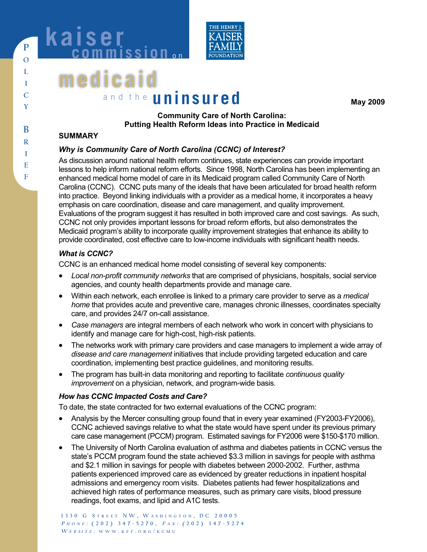



# **medicai** and the **uninsured**

**May 2009** 

### **Community Care of North Carolina: Putting Health Reform Ideas into Practice in Medicaid**

#### **SUMMARY**

### *Why is Community Care of North Carolina (CCNC) of Interest?*

As discussion around national health reform continues, state experiences can provide important lessons to help inform national reform efforts. Since 1998, North Carolina has been implementing an enhanced medical home model of care in its Medicaid program called Community Care of North Carolina (CCNC). CCNC puts many of the ideals that have been articulated for broad health reform into practice. Beyond linking individuals with a provider as a medical home, it incorporates a heavy emphasis on care coordination, disease and care management, and quality improvement. Evaluations of the program suggest it has resulted in both improved care and cost savings. As such, CCNC not only provides important lessons for broad reform efforts, but also demonstrates the Medicaid program's ability to incorporate quality improvement strategies that enhance its ability to provide coordinated, cost effective care to low-income individuals with significant health needs.

#### *What is CCNC?*

CCNC is an enhanced medical home model consisting of several key components:

- *Local non-profit community networks* that are comprised of physicians, hospitals, social service agencies, and county health departments provide and manage care.
- Within each network, each enrollee is linked to a primary care provider to serve as a *medical home* that provides acute and preventive care, manages chronic illnesses, coordinates specialty care, and provides 24/7 on-call assistance.
- *Case managers* are integral members of each network who work in concert with physicians to identify and manage care for high-cost, high-risk patients.
- The networks work with primary care providers and case managers to implement a wide array of *disease and care management* initiatives that include providing targeted education and care coordination, implementing best practice guidelines, and monitoring results.
- The program has built-in data monitoring and reporting to facilitate *continuous quality improvement* on a physician, network, and program-wide basis.

### *How has CCNC Impacted Costs and Care?*

To date, the state contracted for two external evaluations of the CCNC program:

- Analysis by the Mercer consulting group found that in every year examined (FY2003-FY2006), CCNC achieved savings relative to what the state would have spent under its previous primary care case management (PCCM) program. Estimated savings for FY2006 were \$150-\$170 million.
- The University of North Carolina evaluation of asthma and diabetes patients in CCNC versus the state's PCCM program found the state achieved \$3.3 million in savings for people with asthma and \$2.1 million in savings for people with diabetes between 2000-2002. Further, asthma patients experienced improved care as evidenced by greater reductions in inpatient hospital admissions and emergency room visits. Diabetes patients had fewer hospitalizations and achieved high rates of performance measures, such as primary care visits, blood pressure readings, foot exams, and lipid and A1C tests.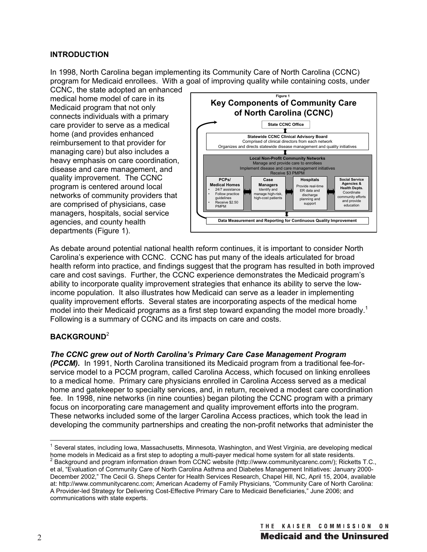### **INTRODUCTION**

In 1998, North Carolina began implementing its Community Care of North Carolina (CCNC) program for Medicaid enrollees. With a goal of improving quality while containing costs, under

CCNC, the state adopted an enhanced medical home model of care in its Medicaid program that not only connects individuals with a primary care provider to serve as a medical home (and provides enhanced reimbursement to that provider for managing care) but also includes a heavy emphasis on care coordination, disease and care management, and quality improvement. The CCNC program is centered around local networks of community providers that are comprised of physicians, case managers, hospitals, social service agencies, and county health departments (Figure 1).



As debate around potential national health reform continues, it is important to consider North Carolina's experience with CCNC. CCNC has put many of the ideals articulated for broad health reform into practice, and findings suggest that the program has resulted in both improved care and cost savings. Further, the CCNC experience demonstrates the Medicaid program's ability to incorporate quality improvement strategies that enhance its ability to serve the lowincome population. It also illustrates how Medicaid can serve as a leader in implementing quality improvement efforts. Several states are incorporating aspects of the medical home model into their Medicaid programs as a first step toward expanding the model more broadly.<sup>1</sup> Following is a summary of CCNC and its impacts on care and costs.

#### **BACKGROUND**<sup>2</sup>

#### *The CCNC grew out of North Carolina's Primary Care Case Management Program*

*(PCCM).* In 1991, North Carolina transitioned its Medicaid program from a traditional fee-forservice model to a PCCM program, called Carolina Access, which focused on linking enrollees to a medical home. Primary care physicians enrolled in Carolina Access served as a medical home and gatekeeper to specialty services, and, in return, received a modest care coordination fee. In 1998, nine networks (in nine counties) began piloting the CCNC program with a primary focus on incorporating care management and quality improvement efforts into the program. These networks included some of the larger Carolina Access practices, which took the lead in developing the community partnerships and creating the non-profit networks that administer the

<sup>&</sup>lt;sup>1</sup> Several states, including Iowa, Massachusetts, Minnesota, Washington, and West Virginia, are developing medical home models in Medicaid as a first step to adopting a multi-payer medical home system for all state residents.<br><sup>2</sup> Background and program information drawn from CCNC website (http://www.communitycarenc.com/); Ricketts T.C.

et al, "Evaluation of Community Care of North Carolina Asthma and Diabetes Management Initiatives: January 2000- December 2002," The Cecil G. Sheps Center for Health Services Research, Chapel Hill, NC, April 15, 2004, available at: http://www.communitycarenc.com; American Academy of Family Physicians, "Community Care of North Carolina: A Provider-led Strategy for Delivering Cost-Effective Primary Care to Medicaid Beneficiaries," June 2006; and communications with state experts.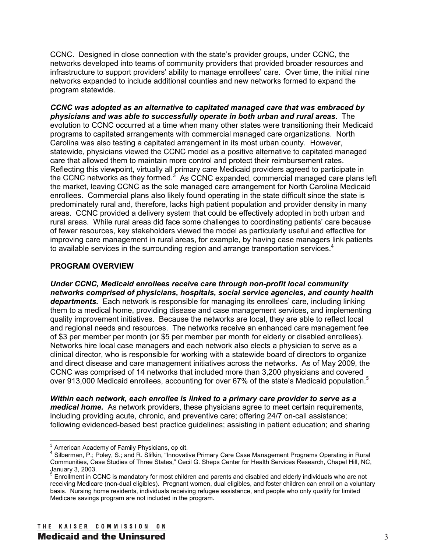CCNC. Designed in close connection with the state's provider groups, under CCNC, the networks developed into teams of community providers that provided broader resources and infrastructure to support providers' ability to manage enrollees' care. Over time, the initial nine networks expanded to include additional counties and new networks formed to expand the program statewide.

*CCNC was adopted as an alternative to capitated managed care that was embraced by physicians and was able to successfully operate in both urban and rural areas.* The evolution to CCNC occurred at a time when many other states were transitioning their Medicaid programs to capitated arrangements with commercial managed care organizations. North Carolina was also testing a capitated arrangement in its most urban county. However, statewide, physicians viewed the CCNC model as a positive alternative to capitated managed care that allowed them to maintain more control and protect their reimbursement rates. Reflecting this viewpoint, virtually all primary care Medicaid providers agreed to participate in the CCNC networks as they formed. $3$  As CCNC expanded, commercial managed care plans left the market, leaving CCNC as the sole managed care arrangement for North Carolina Medicaid enrollees. Commercial plans also likely found operating in the state difficult since the state is predominately rural and, therefore, lacks high patient population and provider density in many areas. CCNC provided a delivery system that could be effectively adopted in both urban and rural areas. While rural areas did face some challenges to coordinating patients' care because of fewer resources, key stakeholders viewed the model as particularly useful and effective for improving care management in rural areas, for example, by having case managers link patients to available services in the surrounding region and arrange transportation services.<sup>4</sup>

#### **PROGRAM OVERVIEW**

*Under CCNC, Medicaid enrollees receive care through non-profit local community networks comprised of physicians, hospitals, social service agencies, and county health departments.* Each network is responsible for managing its enrollees' care, including linking them to a medical home, providing disease and case management services, and implementing quality improvement initiatives. Because the networks are local, they are able to reflect local and regional needs and resources. The networks receive an enhanced care management fee of \$3 per member per month (or \$5 per member per month for elderly or disabled enrollees). Networks hire local case managers and each network also elects a physician to serve as a clinical director, who is responsible for working with a statewide board of directors to organize and direct disease and care management initiatives across the networks. As of May 2009, the CCNC was comprised of 14 networks that included more than 3,200 physicians and covered over 913,000 Medicaid enrollees, accounting for over 67% of the state's Medicaid population.<sup>5</sup>

*Within each network, each enrollee is linked to a primary care provider to serve as a medical home.* As network providers, these physicians agree to meet certain requirements, including providing acute, chronic, and preventive care; offering 24/7 on-call assistance; following evidenced-based best practice guidelines; assisting in patient education; and sharing

 $3$  American Academy of Family Physicians, op cit.

<sup>4</sup> Silberman, P.; Poley, S.; and R. Slifkin, "Innovative Primary Care Case Management Programs Operating in Rural Communities, Case Studies of Three States," Cecil G. Sheps Center for Health Services Research, Chapel Hill, NC, January 3, 2003.

<sup>&</sup>lt;sup>5</sup> Enrollment in CCNC is mandatory for most children and parents and disabled and elderly individuals who are not receiving Medicare (non-dual eligibles). Pregnant women, dual eligibles, and foster children can enroll on a voluntary basis. Nursing home residents, individuals receiving refugee assistance, and people who only qualify for limited Medicare savings program are not included in the program.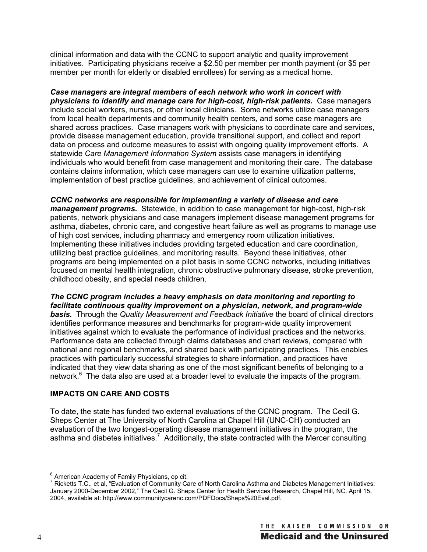clinical information and data with the CCNC to support analytic and quality improvement initiatives. Participating physicians receive a \$2.50 per member per month payment (or \$5 per member per month for elderly or disabled enrollees) for serving as a medical home.

*Case managers are integral members of each network who work in concert with physicians to identify and manage care for high-cost, high-risk patients.* Case managers include social workers, nurses, or other local clinicians. Some networks utilize case managers from local health departments and community health centers, and some case managers are shared across practices. Case managers work with physicians to coordinate care and services, provide disease management education, provide transitional support, and collect and report data on process and outcome measures to assist with ongoing quality improvement efforts. A statewide *Care Management Information System* assists case managers in identifying individuals who would benefit from case management and monitoring their care. The database contains claims information, which case managers can use to examine utilization patterns, implementation of best practice guidelines, and achievement of clinical outcomes.

*CCNC networks are responsible for implementing a variety of disease and care management programs.* Statewide, in addition to case management for high-cost, high-risk patients, network physicians and case managers implement disease management programs for asthma, diabetes, chronic care, and congestive heart failure as well as programs to manage use of high cost services, including pharmacy and emergency room utilization initiatives. Implementing these initiatives includes providing targeted education and care coordination, utilizing best practice guidelines, and monitoring results. Beyond these initiatives, other programs are being implemented on a pilot basis in some CCNC networks, including initiatives focused on mental health integration, chronic obstructive pulmonary disease, stroke prevention, childhood obesity, and special needs children.

*The CCNC program includes a heavy emphasis on data monitoring and reporting to facilitate continuous quality improvement on a physician, network, and program-wide basis.* Through the *Quality Measurement and Feedback Initiative* the board of clinical directors identifies performance measures and benchmarks for program-wide quality improvement initiatives against which to evaluate the performance of individual practices and the networks. Performance data are collected through claims databases and chart reviews, compared with national and regional benchmarks, and shared back with participating practices. This enables practices with particularly successful strategies to share information, and practices have indicated that they view data sharing as one of the most significant benefits of belonging to a network.<sup>6</sup> The data also are used at a broader level to evaluate the impacts of the program.

#### **IMPACTS ON CARE AND COSTS**

To date, the state has funded two external evaluations of the CCNC program. The Cecil G. Sheps Center at The University of North Carolina at Chapel Hill (UNC-CH) conducted an evaluation of the two longest-operating disease management initiatives in the program, the asthma and diabetes initiatives.<sup>7</sup> Additionally, the state contracted with the Mercer consulting

 $\frac{6}{5}$  American Academy of Family Physicians, op cit.

<sup>&</sup>lt;sup>7</sup> Ricketts T.C., et al, "Evaluation of Community Care of North Carolina Asthma and Diabetes Management Initiatives: January 2000-December 2002," The Cecil G. Sheps Center for Health Services Research, Chapel Hill, NC. April 15, 2004, available at: http://www.communitycarenc.com/PDFDocs/Sheps%20Eval.pdf.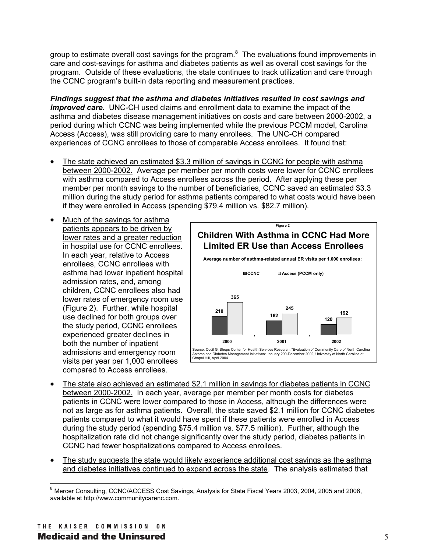group to estimate overall cost savings for the program.<sup>8</sup> The evaluations found improvements in care and cost-savings for asthma and diabetes patients as well as overall cost savings for the program. Outside of these evaluations, the state continues to track utilization and care through the CCNC program's built-in data reporting and measurement practices.

*Findings suggest that the asthma and diabetes initiatives resulted in cost savings and improved care.* UNC-CH used claims and enrollment data to examine the impact of the asthma and diabetes disease management initiatives on costs and care between 2000-2002, a period during which CCNC was being implemented while the previous PCCM model, Carolina Access (Access), was still providing care to many enrollees. The UNC-CH compared experiences of CCNC enrollees to those of comparable Access enrollees. It found that:

- The state achieved an estimated \$3.3 million of savings in CCNC for people with asthma between 2000-2002. Average per member per month costs were lower for CCNC enrollees with asthma compared to Access enrollees across the period. After applying these per member per month savings to the number of beneficiaries, CCNC saved an estimated \$3.3 million during the study period for asthma patients compared to what costs would have been if they were enrolled in Access (spending \$79.4 million vs. \$82.7 million).
- Much of the savings for asthma patients appears to be driven by lower rates and a greater reduction in hospital use for CCNC enrollees. In each year, relative to Access enrollees, CCNC enrollees with asthma had lower inpatient hospital admission rates, and, among children, CCNC enrollees also had lower rates of emergency room use (Figure 2). Further, while hospital use declined for both groups over the study period, CCNC enrollees experienced greater declines in both the number of inpatient admissions and emergency room visits per year per 1,000 enrollees compared to Access enrollees.



- The state also achieved an estimated \$2.1 million in savings for diabetes patients in CCNC between 2000-2002. In each year, average per member per month costs for diabetes patients in CCNC were lower compared to those in Access, although the differences were not as large as for asthma patients. Overall, the state saved \$2.1 million for CCNC diabetes patients compared to what it would have spent if these patients were enrolled in Access during the study period (spending \$75.4 million vs. \$77.5 million). Further, although the hospitalization rate did not change significantly over the study period, diabetes patients in CCNC had fewer hospitalizations compared to Access enrollees.
- The study suggests the state would likely experience additional cost savings as the asthma and diabetes initiatives continued to expand across the state. The analysis estimated that

<sup>&</sup>lt;sup>8</sup> Mercer Consulting, CCNC/ACCESS Cost Savings, Analysis for State Fiscal Years 2003, 2004, 2005 and 2006, available at http://www.communitycarenc.com.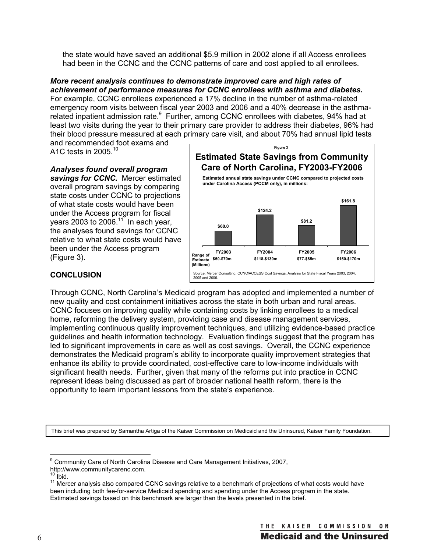the state would have saved an additional \$5.9 million in 2002 alone if all Access enrollees had been in the CCNC and the CCNC patterns of care and cost applied to all enrollees.

*More recent analysis continues to demonstrate improved care and high rates of achievement of performance measures for CCNC enrollees with asthma and diabetes.*  For example, CCNC enrollees experienced a 17% decline in the number of asthma-related emergency room visits between fiscal year 2003 and 2006 and a 40% decrease in the asthmarelated inpatient admission rate.<sup>9</sup> Further, among CCNC enrollees with diabetes, 94% had at least two visits during the year to their primary care provider to address their diabetes, 96% had their blood pressure measured at each primary care visit, and about 70% had annual lipid tests

and recommended foot exams and A1C tests in 2005.<sup>10</sup>



#### *Analyses found overall program*  savings for CCNC. Mercer estimated

overall program savings by comparing state costs under CCNC to projections of what state costs would have been under the Access program for fiscal years 2003 to 2006. $11$  In each year, the analyses found savings for CCNC relative to what state costs would have been under the Access program (Figure 3).

## **CONCLUSION**

Through CCNC, North Carolina's Medicaid program has adopted and implemented a number of new quality and cost containment initiatives across the state in both urban and rural areas. CCNC focuses on improving quality while containing costs by linking enrollees to a medical home, reforming the delivery system, providing case and disease management services, implementing continuous quality improvement techniques, and utilizing evidence-based practice guidelines and health information technology. Evaluation findings suggest that the program has led to significant improvements in care as well as cost savings. Overall, the CCNC experience demonstrates the Medicaid program's ability to incorporate quality improvement strategies that enhance its ability to provide coordinated, cost-effective care to low-income individuals with significant health needs. Further, given that many of the reforms put into practice in CCNC represent ideas being discussed as part of broader national health reform, there is the opportunity to learn important lessons from the state's experience.

This brief was prepared by Samantha Artiga of the Kaiser Commission on Medicaid and the Uninsured, Kaiser Family Foundation.

<sup>&</sup>lt;sup>9</sup> Community Care of North Carolina Disease and Care Management Initiatives, 2007,

http://www.communitycarenc.com.<br><sup>10</sup> Ibid.

 $11$  Mercer analysis also compared CCNC savings relative to a benchmark of projections of what costs would have been including both fee-for-service Medicaid spending and spending under the Access program in the state. Estimated savings based on this benchmark are larger than the levels presented in the brief.